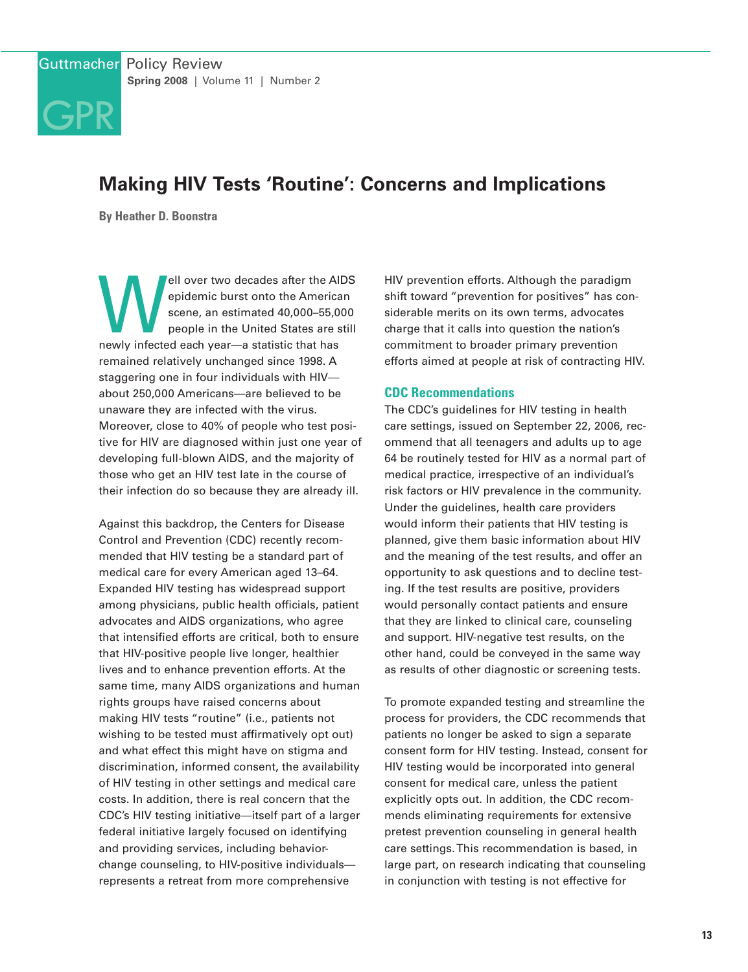# **GPR**

# **Making HIV Tests 'Routine': Concerns and Implications**

**By Heather D. Boonstra**

epidemic burst onto the American<br>scene, an estimated 40,000–55,000<br>people in the United States are still<br>newly infected each year—a statistic that has epidemic burst onto the American scene, an estimated 40,000–55,000 people in the United States are still newly infected each year—a statistic that has remained relatively unchanged since 1998. A staggering one in four individuals with HIV about 250,000 Americans—are believed to be unaware they are infected with the virus. Moreover, close to 40% of people who test positive for HIV are diagnosed within just one year of developing full-blown AIDS, and the majority of those who get an HIV test late in the course of their infection do so because they are already ill.

Against this backdrop, the Centers for Disease Control and Prevention (CDC) recently recommended that HIV testing be a standard part of medical care for every American aged 13–64. Expanded HIV testing has widespread support among physicians, public health officials, patient advocates and AIDS organizations, who agree that intensified efforts are critical, both to ensure that HIV-positive people live longer, healthier lives and to enhance prevention efforts. At the same time, many AIDS organizations and human rights groups have raised concerns about making HIV tests "routine" (i.e., patients not wishing to be tested must affirmatively opt out) and what effect this might have on stigma and discrimination, informed consent, the availability of HIV testing in other settings and medical care costs. In addition, there is real concern that the CDC's HIV testing initiative—itself part of a larger federal initiative largely focused on identifying and providing services, including behaviorchange counseling, to HIV-positive individuals represents a retreat from more comprehensive

HIV prevention efforts. Although the paradigm shift toward "prevention for positives" has considerable merits on its own terms, advocates charge that it calls into question the nation's commitment to broader primary prevention efforts aimed at people at risk of contracting HIV.

#### **CDC Recommendations**

The CDC's guidelines for HIV testing in health care settings, issued on September 22, 2006, recommend that all teenagers and adults up to age 64 be routinely tested for HIV as a normal part of medical practice, irrespective of an individual's risk factors or HIV prevalence in the community. Under the guidelines, health care providers would inform their patients that HIV testing is planned, give them basic information about HIV and the meaning of the test results, and offer an opportunity to ask questions and to decline testing. If the test results are positive, providers would personally contact patients and ensure that they are linked to clinical care, counseling and support. HIV-negative test results, on the other hand, could be conveyed in the same way as results of other diagnostic or screening tests.

To promote expanded testing and streamline the process for providers, the CDC recommends that patients no longer be asked to sign a separate consent form for HIV testing. Instead, consent for HIV testing would be incorporated into general consent for medical care, unless the patient explicitly opts out. In addition, the CDC recommends eliminating requirements for extensive pretest prevention counseling in general health care settings.This recommendation is based, in large part, on research indicating that counseling in conjunction with testing is not effective for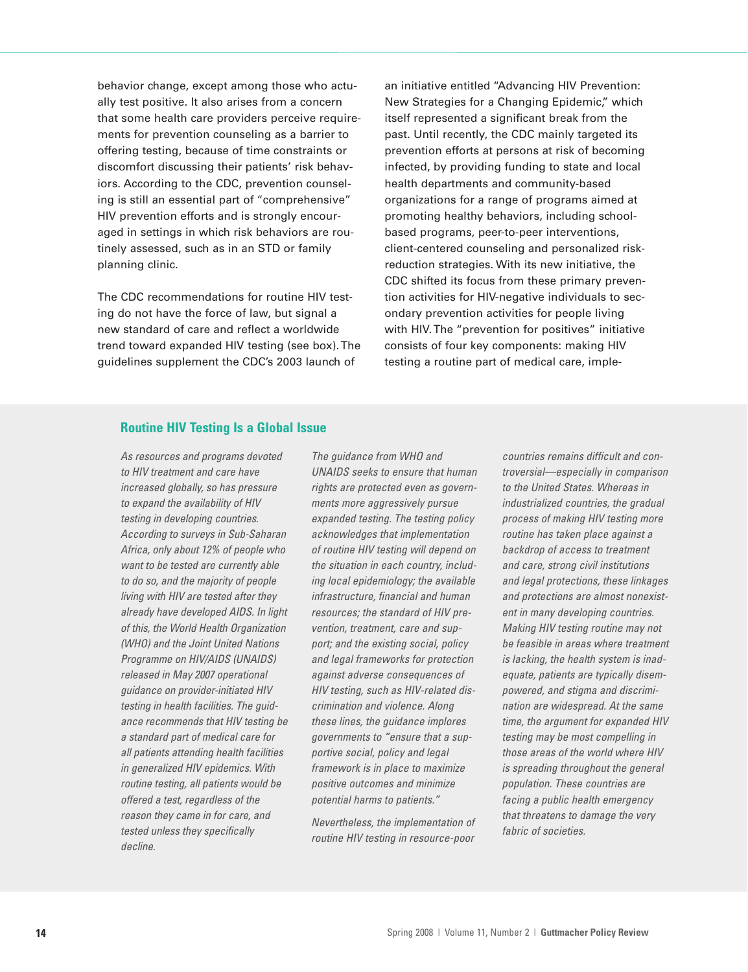behavior change, except among those who actually test positive. It also arises from a concern that some health care providers perceive requirements for prevention counseling as a barrier to offering testing, because of time constraints or discomfort discussing their patients' risk behaviors. According to the CDC, prevention counseling is still an essential part of "comprehensive" HIV prevention efforts and is strongly encouraged in settings in which risk behaviors are routinely assessed, such as in an STD or family planning clinic.

The CDC recommendations for routine HIV testing do not have the force of law, but signal a new standard of care and reflect a worldwide trend toward expanded HIV testing (see box).The guidelines supplement the CDC's 2003 launch of

an initiative entitled "Advancing HIV Prevention: New Strategies for a Changing Epidemic," which itself represented a significant break from the past. Until recently, the CDC mainly targeted its prevention efforts at persons at risk of becoming infected, by providing funding to state and local health departments and community-based organizations for a range of programs aimed at promoting healthy behaviors, including schoolbased programs, peer-to-peer interventions, client-centered counseling and personalized riskreduction strategies. With its new initiative, the CDC shifted its focus from these primary prevention activities for HIV-negative individuals to secondary prevention activities for people living with HIV. The "prevention for positives" initiative consists of four key components: making HIV testing a routine part of medical care, imple-

# **Routine HIV Testing Is a Global Issue**

*As resources and programs devoted to HIV treatment and care have increased globally, so has pressure to expand the availability of HIV testing in developing countries. According to surveys in Sub-Saharan Africa, only about 12% of people who want to be tested are currently able to do so, and the majority of people living with HIV are tested after they already have developed AIDS. In light of this, the World Health Organization (WHO) and the Joint United Nations Programme on HIV/AIDS (UNAIDS) released in May 2007 operational guidance on provider-initiated HIV testing in health facilities. The guidance recommends that HIV testing be a standard part of medical care for all patients attending health facilities in generalized HIV epidemics. With routine testing, all patients would be offered a test, regardless of the reason they came in for care, and tested unless they specifically decline.*

*The guidance from WHO and UNAIDS seeks to ensure that human rights are protected even as governments more aggressively pursue expanded testing. The testing policy acknowledges that implementation of routine HIV testing will depend on the situation in each country, including local epidemiology; the available infrastructure, financial and human resources; the standard of HIV prevention, treatment, care and support; and the existing social, policy and legal frameworks for protection against adverse consequences of HIV testing, such as HIV-related discrimination and violence. Along these lines, the guidance implores governments to "ensure that a supportive social, policy and legal framework is in place to maximize positive outcomes and minimize potential harms to patients."*

*Nevertheless, the implementation of routine HIV testing in resource-poor*

*countries remains difficult and controversial—especially in comparison to the United States. Whereas in industrialized countries, the gradual process of making HIV testing more routine has taken place against a backdrop of access to treatment and care, strong civil institutions and legal protections, these linkages and protections are almost nonexistent in many developing countries. Making HIV testing routine may not be feasible in areas where treatment is lacking, the health system is inadequate, patients are typically disempowered, and stigma and discrimination are widespread. At the same time, the argument for expanded HIV testing may be most compelling in those areas of the world where HIV is spreading throughout the general population. These countries are facing a public health emergency that threatens to damage the very fabric of societies.*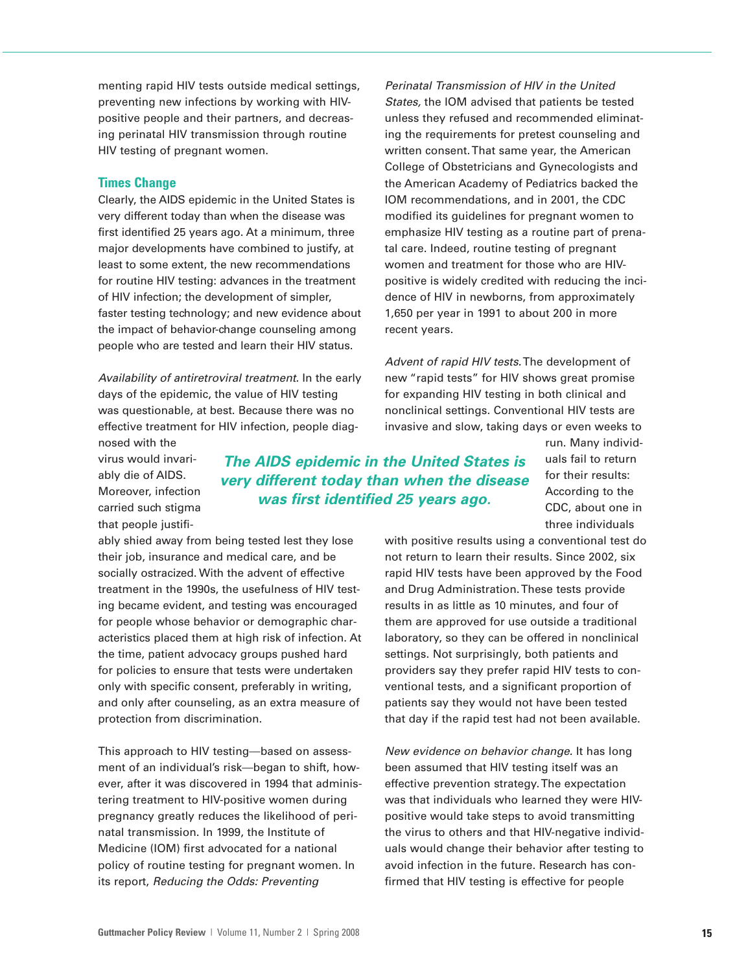menting rapid HIV tests outside medical settings, preventing new infections by working with HIVpositive people and their partners, and decreasing perinatal HIV transmission through routine HIV testing of pregnant women.

#### **Times Change**

Clearly, the AIDS epidemic in the United States is very different today than when the disease was first identified 25 years ago. At a minimum, three major developments have combined to justify, at least to some extent, the new recommendations for routine HIV testing: advances in the treatment of HIV infection; the development of simpler, faster testing technology; and new evidence about the impact of behavior-change counseling among people who are tested and learn their HIV status.

*Availability of antiretroviral treatment.* In the early days of the epidemic, the value of HIV testing was questionable, at best. Because there was no effective treatment for HIV infection, people diagnosed with the

*Perinatal Transmission of HIV in the United States,* the IOM advised that patients be tested unless they refused and recommended eliminating the requirements for pretest counseling and written consent.That same year, the American College of Obstetricians and Gynecologists and the American Academy of Pediatrics backed the IOM recommendations, and in 2001, the CDC modified its guidelines for pregnant women to emphasize HIV testing as a routine part of prenatal care. Indeed, routine testing of pregnant women and treatment for those who are HIVpositive is widely credited with reducing the incidence of HIV in newborns, from approximately 1,650 per year in 1991 to about 200 in more recent years.

*Advent of rapid HIV tests.*The development of new "rapid tests" for HIV shows great promise for expanding HIV testing in both clinical and nonclinical settings. Conventional HIV tests are invasive and slow, taking days or even weeks to

virus would invariably die of AIDS. Moreover, infection carried such stigma that people justifi-

*The AIDS epidemic in the United States is very different today than when the disease was first identified 25 years ago.*

run. Many individuals fail to return for their results: According to the CDC, about one in three individuals

ably shied away from being tested lest they lose their job, insurance and medical care, and be socially ostracized. With the advent of effective treatment in the 1990s, the usefulness of HIV testing became evident, and testing was encouraged for people whose behavior or demographic characteristics placed them at high risk of infection. At the time, patient advocacy groups pushed hard for policies to ensure that tests were undertaken only with specific consent, preferably in writing, and only after counseling, as an extra measure of protection from discrimination.

This approach to HIV testing—based on assessment of an individual's risk—began to shift, however, after it was discovered in 1994 that administering treatment to HIV-positive women during pregnancy greatly reduces the likelihood of perinatal transmission. In 1999, the Institute of Medicine (IOM) first advocated for a national policy of routine testing for pregnant women. In its report, *Reducing the Odds: Preventing*

with positive results using a conventional test do not return to learn their results. Since 2002, six rapid HIV tests have been approved by the Food and Drug Administration.These tests provide results in as little as 10 minutes, and four of them are approved for use outside a traditional laboratory, so they can be offered in nonclinical settings. Not surprisingly, both patients and providers say they prefer rapid HIV tests to conventional tests, and a significant proportion of patients say they would not have been tested that day if the rapid test had not been available.

*New evidence on behavior change.* It has long been assumed that HIV testing itself was an effective prevention strategy.The expectation was that individuals who learned they were HIVpositive would take steps to avoid transmitting the virus to others and that HIV-negative individuals would change their behavior after testing to avoid infection in the future. Research has confirmed that HIV testing is effective for people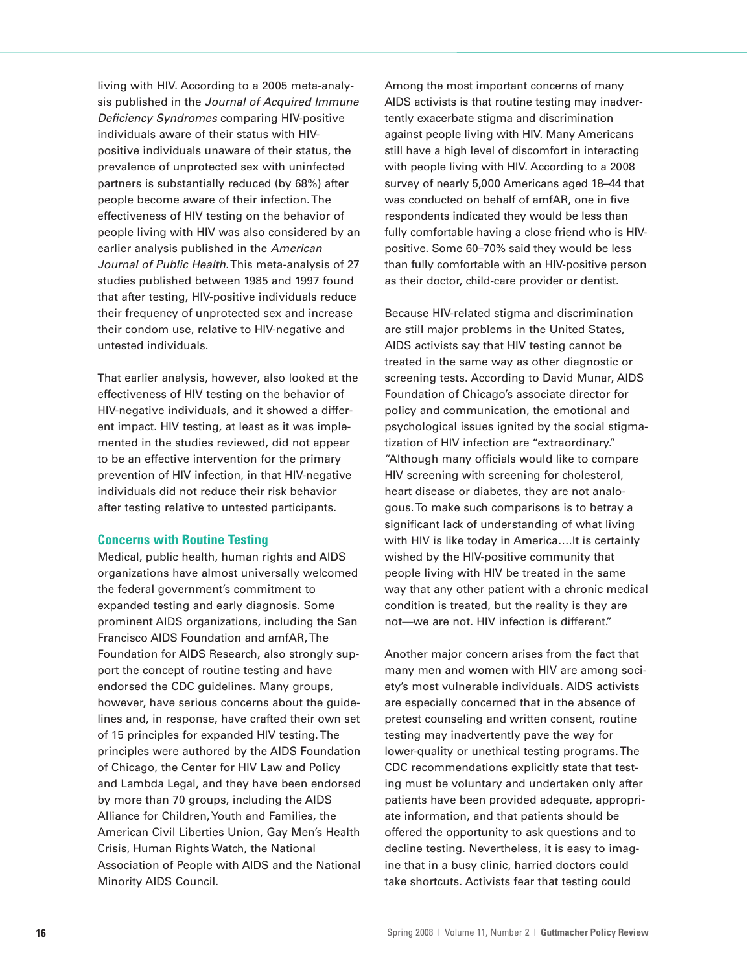living with HIV. According to a 2005 meta-analysis published in the *Journal of Acquired Immune Deficiency Syndromes* comparing HIV-positive individuals aware of their status with HIVpositive individuals unaware of their status, the prevalence of unprotected sex with uninfected partners is substantially reduced (by 68%) after people become aware of their infection.The effectiveness of HIV testing on the behavior of people living with HIV was also considered by an earlier analysis published in the *American Journal of Public Health.*This meta-analysis of 27 studies published between 1985 and 1997 found that after testing, HIV-positive individuals reduce their frequency of unprotected sex and increase their condom use, relative to HIV-negative and untested individuals.

That earlier analysis, however, also looked at the effectiveness of HIV testing on the behavior of HIV-negative individuals, and it showed a different impact. HIV testing, at least as it was implemented in the studies reviewed, did not appear to be an effective intervention for the primary prevention of HIV infection, in that HIV-negative individuals did not reduce their risk behavior after testing relative to untested participants.

## **Concerns with Routine Testing**

Medical, public health, human rights and AIDS organizations have almost universally welcomed the federal government's commitment to expanded testing and early diagnosis. Some prominent AIDS organizations, including the San Francisco AIDS Foundation and amfAR,The Foundation for AIDS Research, also strongly support the concept of routine testing and have endorsed the CDC guidelines. Many groups, however, have serious concerns about the guidelines and, in response, have crafted their own set of 15 principles for expanded HIV testing.The principles were authored by the AIDS Foundation of Chicago, the Center for HIV Law and Policy and Lambda Legal, and they have been endorsed by more than 70 groups, including the AIDS Alliance for Children,Youth and Families, the American Civil Liberties Union, Gay Men's Health Crisis, Human Rights Watch, the National Association of People with AIDS and the National Minority AIDS Council.

Among the most important concerns of many AIDS activists is that routine testing may inadvertently exacerbate stigma and discrimination against people living with HIV. Many Americans still have a high level of discomfort in interacting with people living with HIV. According to a 2008 survey of nearly 5,000 Americans aged 18–44 that was conducted on behalf of amfAR, one in five respondents indicated they would be less than fully comfortable having a close friend who is HIVpositive. Some 60–70% said they would be less than fully comfortable with an HIV-positive person as their doctor, child-care provider or dentist.

Because HIV-related stigma and discrimination are still major problems in the United States, AIDS activists say that HIV testing cannot be treated in the same way as other diagnostic or screening tests. According to David Munar, AIDS Foundation of Chicago's associate director for policy and communication, the emotional and psychological issues ignited by the social stigmatization of HIV infection are "extraordinary." "Although many officials would like to compare HIV screening with screening for cholesterol, heart disease or diabetes, they are not analogous.To make such comparisons is to betray a significant lack of understanding of what living with HIV is like today in America....It is certainly wished by the HIV-positive community that people living with HIV be treated in the same way that any other patient with a chronic medical condition is treated, but the reality is they are not—we are not. HIV infection is different."

Another major concern arises from the fact that many men and women with HIV are among society's most vulnerable individuals. AIDS activists are especially concerned that in the absence of pretest counseling and written consent, routine testing may inadvertently pave the way for lower-quality or unethical testing programs.The CDC recommendations explicitly state that testing must be voluntary and undertaken only after patients have been provided adequate, appropriate information, and that patients should be offered the opportunity to ask questions and to decline testing. Nevertheless, it is easy to imagine that in a busy clinic, harried doctors could take shortcuts. Activists fear that testing could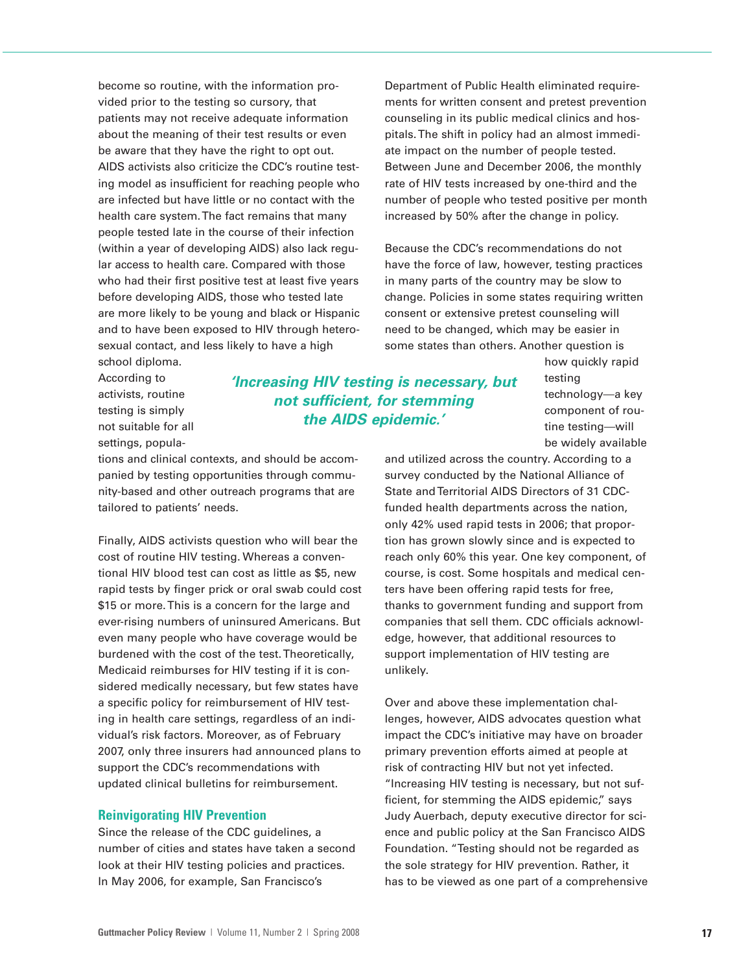become so routine, with the information provided prior to the testing so cursory, that patients may not receive adequate information about the meaning of their test results or even be aware that they have the right to opt out. AIDS activists also criticize the CDC's routine testing model as insufficient for reaching people who are infected but have little or no contact with the health care system.The fact remains that many people tested late in the course of their infection (within a year of developing AIDS) also lack regular access to health care. Compared with those who had their first positive test at least five years before developing AIDS, those who tested late are more likely to be young and black or Hispanic and to have been exposed to HIV through heterosexual contact, and less likely to have a high

school diploma. According to activists, routine testing is simply not suitable for all settings, popula-

tions and clinical contexts, and should be accompanied by testing opportunities through community-based and other outreach programs that are tailored to patients' needs.

Finally, AIDS activists question who will bear the cost of routine HIV testing. Whereas a conventional HIV blood test can cost as little as \$5, new rapid tests by finger prick or oral swab could cost \$15 or more. This is a concern for the large and ever-rising numbers of uninsured Americans. But even many people who have coverage would be burdened with the cost of the test.Theoretically, Medicaid reimburses for HIV testing if it is considered medically necessary, but few states have a specific policy for reimbursement of HIV testing in health care settings, regardless of an individual's risk factors. Moreover, as of February 2007, only three insurers had announced plans to support the CDC's recommendations with updated clinical bulletins for reimbursement.

### **Reinvigorating HIV Prevention**

Since the release of the CDC guidelines, a number of cities and states have taken a second look at their HIV testing policies and practices. In May 2006, for example, San Francisco's

Department of Public Health eliminated requirements for written consent and pretest prevention counseling in its public medical clinics and hospitals.The shift in policy had an almost immediate impact on the number of people tested. Between June and December 2006, the monthly rate of HIV tests increased by one-third and the number of people who tested positive per month increased by 50% after the change in policy.

Because the CDC's recommendations do not have the force of law, however, testing practices in many parts of the country may be slow to change. Policies in some states requiring written consent or extensive pretest counseling will need to be changed, which may be easier in some states than others. Another question is

*'Increasing HIV testing is necessary, but not sufficient, for stemming the AIDS epidemic.'*

how quickly rapid testing technology—a key component of routine testing—will be widely available

and utilized across the country. According to a survey conducted by the National Alliance of State andTerritorial AIDS Directors of 31 CDCfunded health departments across the nation, only 42% used rapid tests in 2006; that proportion has grown slowly since and is expected to reach only 60% this year. One key component, of course, is cost. Some hospitals and medical centers have been offering rapid tests for free, thanks to government funding and support from companies that sell them. CDC officials acknowledge, however, that additional resources to support implementation of HIV testing are unlikely.

Over and above these implementation challenges, however, AIDS advocates question what impact the CDC's initiative may have on broader primary prevention efforts aimed at people at risk of contracting HIV but not yet infected. "Increasing HIV testing is necessary, but not sufficient, for stemming the AIDS epidemic," says Judy Auerbach, deputy executive director for science and public policy at the San Francisco AIDS Foundation. "Testing should not be regarded as the sole strategy for HIV prevention. Rather, it has to be viewed as one part of a comprehensive